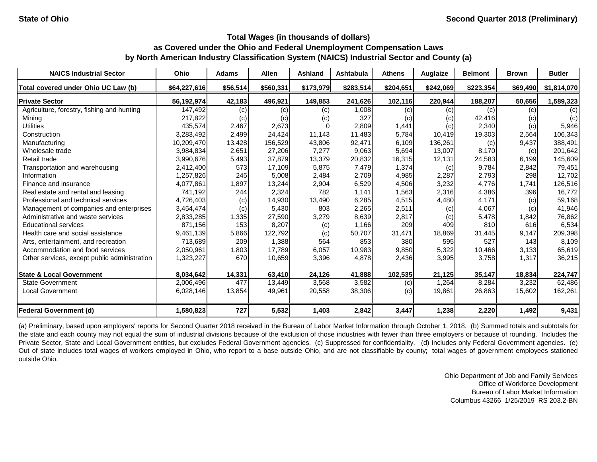| <b>NAICS Industrial Sector</b>               | Ohio         | <b>Adams</b> | <b>Allen</b> | <b>Ashland</b> | Ashtabula | <b>Athens</b> | Auglaize  | <b>Belmont</b> | <b>Brown</b> | <b>Butler</b> |
|----------------------------------------------|--------------|--------------|--------------|----------------|-----------|---------------|-----------|----------------|--------------|---------------|
| Total covered under Ohio UC Law (b)          | \$64,227,616 | \$56,514     | \$560,331    | \$173,979      | \$283,514 | \$204,651     | \$242,069 | \$223,354      | \$69,490     | \$1,814,070   |
| <b>Private Sector</b>                        | 56,192,974   | 42,183       | 496,921      | 149,853        | 241,626   | 102,116       | 220,944   | 188,207        | 50,656       | 1,589,323     |
| Agriculture, forestry, fishing and hunting   | 147,492      | (c)          | (c)          | (c)            | 1,008     | (c)           | (c)       | (c)            | (c)          | (c)           |
| Mining                                       | 217,822      | (c)          | (c)          | (c)            | 327       | (c)           | (c)       | 42,416         | (c)          | (c)           |
| <b>Utilities</b>                             | 435,574      | 2,467        | 2,673        |                | 2,809     | 1,441         | (c)       | 2,340          | (c)          | 5,946         |
| Construction                                 | 3,283,492    | 2,499        | 24,424       | 11,143         | 11,483    | 5,784         | 10,419    | 19,303         | 2,564        | 106,343       |
| Manufacturing                                | 10,209,470   | 13,428       | 156,529      | 43,806         | 92,471    | 6,109         | 136,261   | (c)            | 9,437        | 388,491       |
| Wholesale trade                              | 3,984,834    | 2,651        | 27,206       | 7,277          | 9,063     | 5,694         | 13,007    | 8,170          | (c)          | 201,642       |
| Retail trade                                 | 3,990,676    | 5,493        | 37,879       | 13,379         | 20,832    | 16,315        | 12,131    | 24,583         | 6,199        | 145,609       |
| Transportation and warehousing               | 2,412,400    | 573          | 17,109       | 5,875          | 7,479     | 1,374         | (c)       | 9,784          | 2,842        | 79,451        |
| Information                                  | 1,257,826    | 245          | 5,008        | 2,484          | 2,709     | 4,985         | 2,287     | 2,793          | 298          | 12,702        |
| Finance and insurance                        | 4,077,861    | 1,897        | 13,244       | 2,904          | 6,529     | 4,506         | 3,232     | 4,776          | 1,741        | 126,516       |
| Real estate and rental and leasing           | 741,192      | 244          | 2,324        | 782            | 1,141     | 1,563         | 2,316     | 4,386          | 396          | 16,772        |
| Professional and technical services          | 4,726,403    | (c)          | 14,930       | 13,490         | 6,285     | 4,515         | 4,480     | 4,171          | (c)          | 59,168        |
| Management of companies and enterprises      | 3,454,474    | (c)          | 5,430        | 803            | 2,265     | 2,511         | (c)       | 4,067          | (c)          | 41,946        |
| Administrative and waste services            | 2,833,285    | 1,335        | 27,590       | 3,279          | 8,639     | 2,817         | (c)       | 5,478          | 1,842        | 76,862        |
| <b>Educational services</b>                  | 871,156      | 153          | 8,207        | (c)            | 1,166     | 209           | 409       | 810            | 616          | 6,534         |
| Health care and social assistance            | 9,461,139    | 5,866        | 122,792      | (c)            | 50,707    | 31,471        | 18,869    | 31,445         | 9,147        | 209,398       |
| Arts, entertainment, and recreation          | 713,689      | 209          | 1,388        | 564            | 853       | 380           | 595       | 527            | 143          | 8,109         |
| Accommodation and food services              | 2,050,961    | 1,803        | 17,789       | 6,057          | 10,983    | 9,850         | 5,322     | 10,466         | 3,133        | 65,619        |
| Other services, except public administration | 1,323,227    | 670          | 10,659       | 3,396          | 4,878     | 2,436         | 3,995     | 3,758          | 1,317        | 36,215        |
| <b>State &amp; Local Government</b>          | 8,034,642    | 14,331       | 63,410       | 24,126         | 41,888    | 102,535       | 21,125    | 35,147         | 18,834       | 224,747       |
| <b>State Government</b>                      | 2,006,496    | 477          | 13,449       | 3,568          | 3,582     | (c)           | 1,264     | 8,284          | 3,232        | 62,486        |
| <b>Local Government</b>                      | 6,028,146    | 13,854       | 49,961       | 20,558         | 38,306    | (c)           | 19,861    | 26,863         | 15,602       | 162,261       |
| <b>Federal Government (d)</b>                | 1,580,823    | 727          | 5,532        | 1,403          | 2,842     | 3,447         | 1,238     | 2,220          | 1,492        | 9,431         |

(a) Preliminary, based upon employers' reports for Second Quarter 2018 received in the Bureau of Labor Market Information through October 1, 2018. (b) Summed totals and subtotals for the state and each county may not equal the sum of industrial divisions because of the exclusion of those industries with fewer than three employers or because of rounding. Includes the Private Sector, State and Local Government entities, but excludes Federal Government agencies. (c) Suppressed for confidentiality. (d) Includes only Federal Government agencies. (e) Out of state includes total wages of workers employed in Ohio, who report to a base outside Ohio, and are not classifiable by county; total wages of government employees stationed outside Ohio.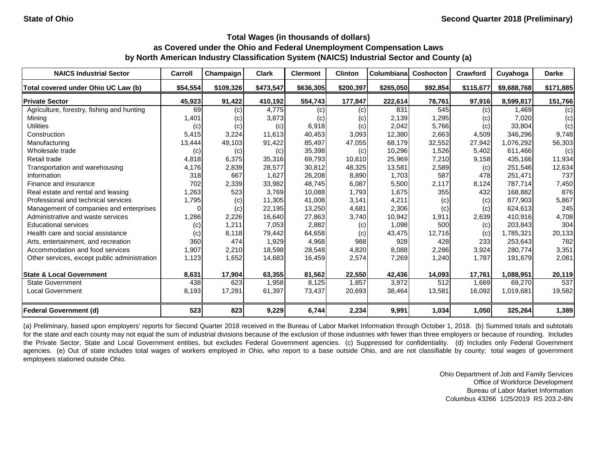| <b>NAICS Industrial Sector</b>               | Carroll  | Champaign | <b>Clark</b> | <b>Clermont</b> | <b>Clinton</b> | Columbiana | <b>Coshocton</b> | Crawford  | Cuyahoga    | <b>Darke</b> |
|----------------------------------------------|----------|-----------|--------------|-----------------|----------------|------------|------------------|-----------|-------------|--------------|
| Total covered under Ohio UC Law (b)          | \$54,554 | \$109,326 | \$473,547    | \$636,305       | \$200,397      | \$265,050  | \$92,854         | \$115,677 | \$9,688,768 | \$171,885    |
| <b>Private Sector</b>                        | 45,923   | 91,422    | 410,192      | 554,743         | 177,847        | 222,614    | 78,761           | 97,916    | 8,599,817   | 151,766      |
| Agriculture, forestry, fishing and hunting   | 69       | (c)       | 4,775        | (c)             | (c)            | 831        | 545              | (c)       | 1.469       | (c)          |
| Mining                                       | 1,401    | (c)       | 3,873        | (c)             | (c)            | 2,139      | 1,295            | (c)       | 7,020       | (c)          |
| <b>Utilities</b>                             | (c)      | (c)       | (c)          | 6,918           | (c)            | 2,042      | 5,766            | (c)       | 33,804      | (c)          |
| Construction                                 | 5,415    | 3,224     | 11,613       | 40,453          | 3,093          | 12,380     | 2,663            | 4,509     | 346,296     | 9,748        |
| Manufacturing                                | 13,444   | 49,103    | 91,422       | 85,497          | 47,055         | 68,179     | 32,552           | 27,942    | 1,076,292   | 56,303       |
| Wholesale trade                              | (c)      | (c)       | (c)          | 35,398          | (c)            | 10,296     | 1,526            | 5,402     | 611,466     | (c)          |
| Retail trade                                 | 4,818    | 6,375     | 35,316       | 69,793          | 10,610         | 25,969     | 7,210            | 9,158     | 435,166     | 11,934       |
| Transportation and warehousing               | 4,176    | 2,839     | 28,577       | 30,812          | 48,325         | 13,581     | 2,589            | (c)       | 251,546     | 12,634       |
| Information                                  | 318      | 667       | 1,627        | 26,208          | 8,890          | 1,703      | 587              | 478       | 251,471     | 737          |
| Finance and insurance                        | 702      | 2,339     | 33,982       | 48,745          | 6,087          | 5,500      | 2,117            | 8,124     | 787,714     | 7,450        |
| Real estate and rental and leasing           | 1,263    | 523       | 3,769        | 10,088          | 1,793          | 1,675      | 355              | 432       | 168,882     | 876          |
| Professional and technical services          | 1,795    | (c)       | 11,305       | 41,008          | 3,141          | 4,211      | (c)              | (c)       | 877,903     | 5,867        |
| Management of companies and enterprises      | 0        | (c)       | 22,195       | 13,250          | 4,681          | 2,306      | (c)              | (c)       | 624,613     | 245          |
| Administrative and waste services            | 1,286    | 2,226     | 16,640       | 27,863          | 3,740          | 10,942     | 1,911            | 2,639     | 410,916     | 4,708        |
| <b>Educational services</b>                  | (c)      | 1,211     | 7,053        | 2,882           | (c)            | 1,098      | 500              | (c)       | 203,843     | 304          |
| Health care and social assistance            | (c)      | 8,118     | 79,442       | 64,658          | (c)            | 43,475     | 12,716           | (c)       | 1,785,321   | 20,133       |
| Arts, entertainment, and recreation          | 360      | 474       | 1,929        | 4,968           | 988            | 928        | 428              | 233       | 253,643     | 782          |
| Accommodation and food services              | 1,907    | 2,210     | 18,598       | 28,548          | 4,820          | 8,088      | 2,286            | 3,924     | 280,774     | 3,351        |
| Other services, except public administration | 1,123    | 1,652     | 14,683       | 16,459          | 2,574          | 7,269      | 1,240            | 1,787     | 191,679     | 2,081        |
| <b>State &amp; Local Government</b>          | 8,631    | 17,904    | 63,355       | 81,562          | 22,550         | 42,436     | 14,093           | 17,761    | 1,088,951   | 20,119       |
| <b>State Government</b>                      | 438      | 623       | 1,958        | 8,125           | 1,857          | 3,972      | 512              | 1,669     | 69,270      | 537          |
| <b>Local Government</b>                      | 8,193    | 17,281    | 61,397       | 73,437          | 20,693         | 38,464     | 13,581           | 16,092    | 1,019,681   | 19,582       |
| <b>Federal Government (d)</b>                | 523      | 823       | 9,229        | 6,744           | 2,234          | 9,991      | 1,034            | 1,050     | 325,264     | 1,389        |

(a) Preliminary, based upon employers' reports for Second Quarter 2018 received in the Bureau of Labor Market Information through October 1, 2018. (b) Summed totals and subtotals for the state and each county may not equal the sum of industrial divisions because of the exclusion of those industries with fewer than three employers or because of rounding. Includes the Private Sector, State and Local Government entities, but excludes Federal Government agencies. (c) Suppressed for confidentiality. (d) Includes only Federal Government agencies. (e) Out of state includes total wages of workers employed in Ohio, who report to a base outside Ohio, and are not classifiable by county; total wages of government employees stationed outside Ohio.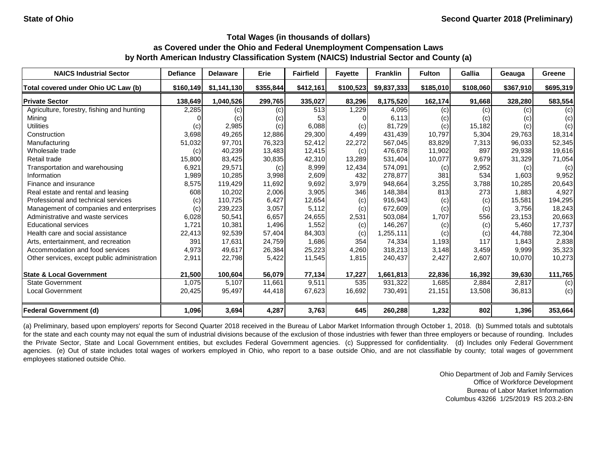| <b>NAICS Industrial Sector</b>               | <b>Defiance</b> | <b>Delaware</b> | Erie      | <b>Fairfield</b> | <b>Fayette</b> | <b>Franklin</b> | <b>Fulton</b> | Gallia    | Geauga    | Greene    |
|----------------------------------------------|-----------------|-----------------|-----------|------------------|----------------|-----------------|---------------|-----------|-----------|-----------|
| Total covered under Ohio UC Law (b)          | \$160,149       | \$1,141,130     | \$355,844 | \$412,161        | \$100,523      | \$9,837,333     | \$185,010     | \$108,060 | \$367,910 | \$695,319 |
| <b>Private Sector</b>                        | 138,649         | 1,040,526       | 299,765   | 335,027          | 83,296         | 8,175,520       | 162,174       | 91,668    | 328,280   | 583,554   |
| Agriculture, forestry, fishing and hunting   | 2,285           | (c)             | (c)       | 513              | 1,229          | 4,095           | (c)           | (c)       | (c)       | (c)       |
| Mining                                       |                 | (c)             | (c)       | 53               |                | 6,113           | (c)           | (c)       | (c)       | (c)       |
| <b>Utilities</b>                             | (c)             | 2,985           | (c)       | 6,088            | (c)            | 81,729          | (c)           | 15,182    | (c)       | (c)       |
| Construction                                 | 3,698           | 49,265          | 12,886    | 29,300           | 4,499          | 431,439         | 10,797        | 5,304     | 29,763    | 18,314    |
| Manufacturing                                | 51,032          | 97,701          | 76,323    | 52,412           | 22,272         | 567,045         | 83,829        | 7,313     | 96,033    | 52,345    |
| Wholesale trade                              | (c)             | 40,239          | 13,483    | 12,415           | (c)            | 476,678         | 11,902        | 897       | 29,938    | 19,616    |
| Retail trade                                 | 15,800          | 83,425          | 30,835    | 42,310           | 13,289         | 531,404         | 10,077        | 9,679     | 31,329    | 71,054    |
| Transportation and warehousing               | 6,921           | 29,571          | (c)       | 8,999            | 12,434         | 574,091         | (c)           | 2,952     | (c)       | (c)       |
| Information                                  | 1,989           | 10,285          | 3,998     | 2,609            | 432            | 278,877         | 381           | 534       | 1,603     | 9,952     |
| Finance and insurance                        | 8,575           | 119,429         | 11,692    | 9,692            | 3,979          | 948,664         | 3,255         | 3,788     | 10,285    | 20,643    |
| Real estate and rental and leasing           | 608             | 10,202          | 2,006     | 3,905            | 346            | 148,384         | 813           | 273       | 1,883     | 4,927     |
| Professional and technical services          | (c)             | 110,725         | 6,427     | 12,654           | (c)            | 916,943         | (c)           | (c)       | 15,581    | 194,295   |
| Management of companies and enterprises      | (c)             | 239,223         | 3,057     | 5,112            | (c)            | 672,609         | (c)           | (c)       | 3,756     | 18,243    |
| Administrative and waste services            | 6,028           | 50,541          | 6,657     | 24,655           | 2,531          | 503,084         | 1,707         | 556       | 23,153    | 20,663    |
| <b>Educational services</b>                  | 1,721           | 10,381          | 1,496     | 1,552            | (c)            | 146,267         | (c)           | (c)       | 5,460     | 17,737    |
| Health care and social assistance            | 22,413          | 92,539          | 57,404    | 84,303           | (c)            | 1,255,111       | (c)           | (c)       | 44,788    | 72,304    |
| Arts, entertainment, and recreation          | 391             | 17,631          | 24,759    | 1,686            | 354            | 74,334          | 1,193         | 117       | 1,843     | 2,838     |
| Accommodation and food services              | 4,973           | 49,617          | 26,384    | 25,223           | 4,260          | 318,213         | 3,148         | 3,459     | 9,999     | 35,323    |
| Other services, except public administration | 2,911           | 22,798          | 5,422     | 11,545           | 1,815          | 240,437         | 2,427         | 2,607     | 10,070    | 10,273    |
| <b>State &amp; Local Government</b>          | 21,500          | 100,604         | 56,079    | 77,134           | 17,227         | 1,661,813       | 22,836        | 16,392    | 39,630    | 111,765   |
| <b>State Government</b>                      | 1,075           | 5,107           | 11,661    | 9,511            | 535            | 931,322         | 1,685         | 2,884     | 2,817     | (c)       |
| <b>Local Government</b>                      | 20,425          | 95,497          | 44,418    | 67,623           | 16,692         | 730,491         | 21,151        | 13,508    | 36,813    | (c)       |
| <b>Federal Government (d)</b>                | 1,096           | 3,694           | 4,287     | 3,763            | 645            | 260,288         | 1,232         | 802       | 1,396     | 353,664   |

(a) Preliminary, based upon employers' reports for Second Quarter 2018 received in the Bureau of Labor Market Information through October 1, 2018. (b) Summed totals and subtotals for the state and each county may not equal the sum of industrial divisions because of the exclusion of those industries with fewer than three employers or because of rounding. Includes the Private Sector, State and Local Government entities, but excludes Federal Government agencies. (c) Suppressed for confidentiality. (d) Includes only Federal Government agencies. (e) Out of state includes total wages of workers employed in Ohio, who report to a base outside Ohio, and are not classifiable by county; total wages of government employees stationed outside Ohio.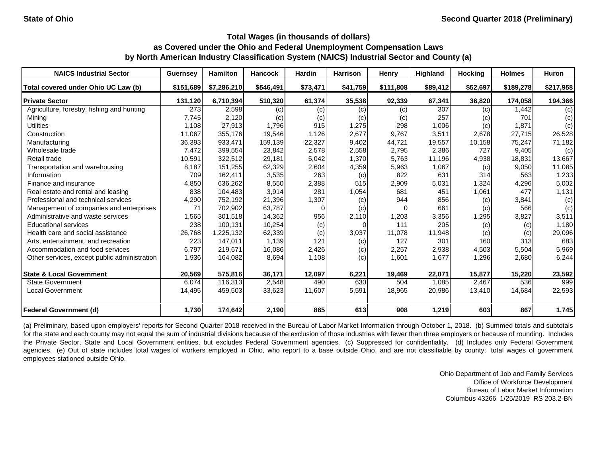| <b>NAICS Industrial Sector</b>               | <b>Guernsey</b> | <b>Hamilton</b> | <b>Hancock</b> | <b>Hardin</b> | <b>Harrison</b> | <b>Henry</b> | <b>Highland</b> | <b>Hocking</b> | <b>Holmes</b> | <b>Huron</b> |
|----------------------------------------------|-----------------|-----------------|----------------|---------------|-----------------|--------------|-----------------|----------------|---------------|--------------|
| Total covered under Ohio UC Law (b)          | \$151,689       | \$7,286,210     | \$546,491      | \$73,471      | \$41,759        | \$111,808    | \$89,412        | \$52,697       | \$189,278     | \$217,958    |
| <b>Private Sector</b>                        | 131,120         | 6,710,394       | 510,320        | 61,374        | 35,538          | 92,339       | 67,341          | 36,820         | 174,058       | 194,366      |
| Agriculture, forestry, fishing and hunting   | 273             | 2,598           | (c)            | (c)           | (c)             | (c)          | 307             | (c)            | 1,442         | (c)          |
| Mining                                       | 7,745           | 2,120           | (c)            | (c)           | (c)             | (C)          | 257             | (c)            | 701           | (c)          |
| <b>Utilities</b>                             | 1,108           | 27,913          | 1,796          | 915           | 1,275           | 298          | 1,006           | (c)            | 1,871         | (c)          |
| Construction                                 | 11,067          | 355,176         | 19,546         | 1,126         | 2,677           | 9,767        | 3,511           | 2,678          | 27,715        | 26,528       |
| Manufacturing                                | 36,393          | 933,471         | 159,139        | 22,327        | 9,402           | 44,721       | 19,557          | 10,158         | 75,247        | 71,182       |
| Wholesale trade                              | 7,472           | 399,554         | 23,842         | 2,578         | 2,558           | 2,795        | 2,386           | 727            | 9,405         | (c)          |
| Retail trade                                 | 10,591          | 322,512         | 29,181         | 5,042         | 1,370           | 5,763        | 11,196          | 4,938          | 18,831        | 13,667       |
| Transportation and warehousing               | 8,187           | 151,255         | 62,329         | 2,604         | 4,359           | 5,963        | 1,067           | (c)            | 9,050         | 11,085       |
| Information                                  | 709             | 162,411         | 3,535          | 263           | (c)             | 822          | 631             | 314            | 563           | 1,233        |
| Finance and insurance                        | 4,850           | 636,262         | 8,550          | 2,388         | 515             | 2,909        | 5,031           | 1,324          | 4,296         | 5,002        |
| Real estate and rental and leasing           | 838             | 104,483         | 3,914          | 281           | 1,054           | 681          | 451             | 1,061          | 477           | 1,131        |
| Professional and technical services          | 4,290           | 752,192         | 21,396         | 1,307         | (c)             | 944          | 856             | (c)            | 3,841         | (c)          |
| Management of companies and enterprises      | 71              | 702,902         | 63,787         |               | (c)             |              | 661             | (c)            | 566           | (c)          |
| Administrative and waste services            | 1,565           | 301,518         | 14,362         | 956           | 2,110           | 1,203        | 3,356           | 1,295          | 3,827         | 3,511        |
| <b>Educational services</b>                  | 238             | 100,131         | 10,254         | (c)           |                 | 111          | 205             | (c)            | (c)           | 1,180        |
| Health care and social assistance            | 26,768          | 1,225,132       | 62,339         | (c)           | 3,037           | 11,078       | 11,948          | (c)            | (c)           | 29,096       |
| Arts, entertainment, and recreation          | 223             | 147,011         | 1,139          | 121           | (c)             | 127          | 301             | 160            | 313           | 683          |
| Accommodation and food services              | 6,797           | 219,671         | 16,086         | 2,426         | (c)             | 2,257        | 2,938           | 4,503          | 5,504         | 5,969        |
| Other services, except public administration | 1,936           | 164,082         | 8,694          | 1,108         | (c)             | 1,601        | 1,677           | 1,296          | 2,680         | 6,244        |
| <b>State &amp; Local Government</b>          | 20,569          | 575,816         | 36,171         | 12,097        | 6,221           | 19,469       | 22,071          | 15,877         | 15,220        | 23,592       |
| <b>State Government</b>                      | 6,074           | 116,313         | 2,548          | 490           | 630             | 504          | 1,085           | 2,467          | 536           | 999          |
| <b>Local Government</b>                      | 14,495          | 459,503         | 33,623         | 11,607        | 5,591           | 18,965       | 20,986          | 13,410         | 14,684        | 22,593       |
| Federal Government (d)                       | 1,730           | 174,642         | 2,190          | 865           | 613             | 908          | 1,219           | 603            | 867           | 1,745        |

(a) Preliminary, based upon employers' reports for Second Quarter 2018 received in the Bureau of Labor Market Information through October 1, 2018. (b) Summed totals and subtotals for the state and each county may not equal the sum of industrial divisions because of the exclusion of those industries with fewer than three employers or because of rounding. Includes the Private Sector, State and Local Government entities, but excludes Federal Government agencies. (c) Suppressed for confidentiality. (d) Includes only Federal Government agencies. (e) Out of state includes total wages of workers employed in Ohio, who report to a base outside Ohio, and are not classifiable by county; total wages of government employees stationed outside Ohio.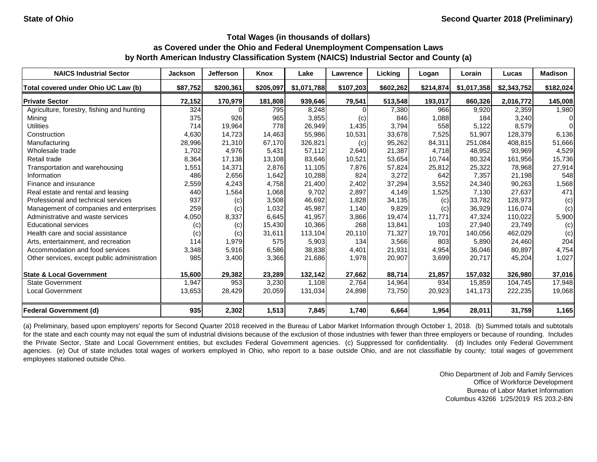| <b>NAICS Industrial Sector</b>               | <b>Jackson</b> | <b>Jefferson</b> | Knox      | Lake        | <b>Lawrence</b> | Licking   | Logan     | Lorain      | Lucas       | <b>Madison</b> |
|----------------------------------------------|----------------|------------------|-----------|-------------|-----------------|-----------|-----------|-------------|-------------|----------------|
| Total covered under Ohio UC Law (b)          | \$87,752       | \$200,361        | \$205,097 | \$1,071,788 | \$107,203       | \$602,262 | \$214,874 | \$1,017,358 | \$2,343,752 | \$182,024      |
| <b>Private Sector</b>                        | 72,152         | 170,979          | 181,808   | 939,646     | 79,541          | 513,548   | 193,017   | 860,326     | 2,016,772   | 145,008        |
| Agriculture, forestry, fishing and hunting   | 324            |                  | 795       | 8,248       |                 | 7,380     | 966       | 9,920       | 2,359       | 1,980          |
| Mining                                       | 375            | 926              | 965       | 3,855       | (c)             | 846       | 1,088     | 184         | 3,240       | $\Omega$       |
| <b>Utilities</b>                             | 714            | 19,964           | 778       | 26,949      | 1,435           | 3,794     | 558       | 5,122       | 8,579       | $\Omega$       |
| Construction                                 | 4,630          | 14,723           | 14,463    | 55,986      | 10,531          | 33,678    | 7,525     | 51,907      | 128,379     | 6,136          |
| Manufacturing                                | 28,996         | 21,310           | 67,170    | 326,821     | (c)             | 95,262    | 84,311    | 251,084     | 408,815     | 51,666         |
| Wholesale trade                              | 1,702          | 4,976            | 5,431     | 57,112      | 2,640           | 21,387    | 4,718     | 48,952      | 93,969      | 4,529          |
| Retail trade                                 | 8,364          | 17,138           | 13,108    | 83,646      | 10,521          | 53,654    | 10,744    | 80,324      | 161,956     | 15,736         |
| Transportation and warehousing               | 1,551          | 14,371           | 2,876     | 11,105      | 7,876           | 57,824    | 25,812    | 25,322      | 78,968      | 27,914         |
| Information                                  | 486            | 2,656            | 1,642     | 10,288      | 824             | 3,272     | 642       | 7,357       | 21,198      | 548            |
| Finance and insurance                        | 2,559          | 4,243            | 4,758     | 21,400      | 2,402           | 37,294    | 3,552     | 24,340      | 90,263      | 1,568          |
| Real estate and rental and leasing           | 440            | 1,564            | 1,068     | 9,702       | 2,897           | 4,149     | 1,525     | 7,130       | 27,637      | 471            |
| Professional and technical services          | 937            | (c)              | 3,508     | 46,692      | 1,828           | 34,135    | (c)       | 33,782      | 128,973     | (c)            |
| Management of companies and enterprises      | 259            | (c)              | 1,032     | 45,987      | 1,140           | 9,829     | (c)       | 36,929      | 116,074     | (c)            |
| Administrative and waste services            | 4,050          | 8,337            | 6,645     | 41,957      | 3,866           | 19,474    | 11,771    | 47,324      | 110,022     | 5,900          |
| <b>Educational services</b>                  | (c)            | (c)              | 15,430    | 10,366      | 268             | 13,841    | 103       | 27,940      | 23,749      | (c)            |
| Health care and social assistance            | (c)            | (c)              | 31,611    | 113,104     | 20,110          | 71,327    | 19,701    | 140,056     | 462,029     | (c)            |
| Arts, entertainment, and recreation          | 114            | 1,979            | 575       | 5,903       | 134             | 3,566     | 803       | 5,890       | 24,460      | 204            |
| Accommodation and food services              | 3,348          | 5,916            | 6,586     | 38,838      | 4,401           | 21,931    | 4,954     | 36,046      | 80,897      | 4,754          |
| Other services, except public administration | 985            | 3,400            | 3,366     | 21,686      | 1,978           | 20,907    | 3,699     | 20,717      | 45,204      | 1,027          |
| <b>State &amp; Local Government</b>          | 15,600         | 29,382           | 23,289    | 132,142     | 27,662          | 88,714    | 21,857    | 157,032     | 326,980     | 37,016         |
| <b>State Government</b>                      | 1,947          | 953              | 3,230     | 1,108       | 2,764           | 14,964    | 934       | 15,859      | 104,745     | 17,948         |
| <b>Local Government</b>                      | 13,653         | 28,429           | 20,059    | 131,034     | 24,898          | 73,750    | 20,923    | 141,173     | 222,235     | 19,068         |
| <b>Federal Government (d)</b>                | 935            | 2,302            | 1,513     | 7,845       | 1,740           | 6,664     | 1,954     | 28,011      | 31,759      | 1,165          |

(a) Preliminary, based upon employers' reports for Second Quarter 2018 received in the Bureau of Labor Market Information through October 1, 2018. (b) Summed totals and subtotals for the state and each county may not equal the sum of industrial divisions because of the exclusion of those industries with fewer than three employers or because of rounding. Includes the Private Sector, State and Local Government entities, but excludes Federal Government agencies. (c) Suppressed for confidentiality. (d) Includes only Federal Government agencies. (e) Out of state includes total wages of workers employed in Ohio, who report to a base outside Ohio, and are not classifiable by county; total wages of government employees stationed outside Ohio.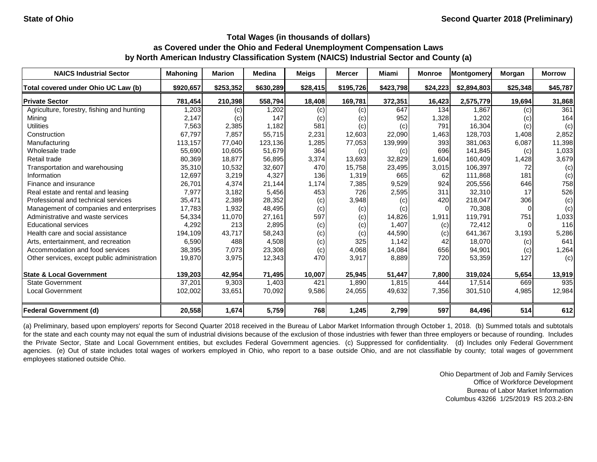| <b>NAICS Industrial Sector</b>               | <b>Mahoning</b> | <b>Marion</b> | <b>Medina</b> | <b>Meigs</b> | <b>Mercer</b> | Miami             | <b>Monroe</b> | Montgomery  | Morgan   | <b>Morrow</b> |
|----------------------------------------------|-----------------|---------------|---------------|--------------|---------------|-------------------|---------------|-------------|----------|---------------|
| Total covered under Ohio UC Law (b)          | \$920,657       | \$253,352     | \$630,289     | \$28,415     | \$195,726     | \$423,798         | \$24,223      | \$2,894,803 | \$25,348 | \$45,787      |
| <b>Private Sector</b>                        | 781,454         | 210,398       | 558,794       | 18,408       | 169,781       | 372,351           | 16,423        | 2,575,779   | 19,694   | 31,868        |
| Agriculture, forestry, fishing and hunting   | 1,203           | (c)           | 1,202         | $\left( $    | (c)           | 647               | 134           | 1,867       | (c)      | 361           |
| Mining                                       | 2,147           | (c)           | 147           | $\left( $    | (c)           | 952               | 1,328         | 1,202       | (c)      | 164           |
| <b>Utilities</b>                             | 7,563           | 2,385         | 1,182         | 581          | (c)           | $\left( c\right)$ | 791           | 16,304      | (c)      | (c)           |
| Construction                                 | 67,797          | 7,857         | 55,715        | 2,231        | 12,603        | 22,090            | 1,463         | 128,703     | 1,408    | 2,852         |
| Manufacturing                                | 113,157         | 77,040        | 123,136       | 1,285        | 77,053        | 139,999           | 393           | 381,063     | 6,087    | 11,398        |
| Wholesale trade                              | 55,690          | 10,605        | 51,679        | 364          | (c)           | (c)               | 696           | 141,845     | (c)      | 1,033         |
| Retail trade                                 | 80,369          | 18,877        | 56,895        | 3,374        | 13,693        | 32,829            | 1,604         | 160,409     | 1,428    | 3,679         |
| Transportation and warehousing               | 35,310          | 10,532        | 32,607        | 470          | 15,758        | 23,495            | 3,015         | 106,397     | 72       | (c)           |
| Information                                  | 12,697          | 3,219         | 4,327         | 136          | 1,319         | 665               | 62            | 111,868     | 181      | (c)           |
| Finance and insurance                        | 26,701          | 4,374         | 21,144        | 1,174        | 7,385         | 9,529             | 924           | 205,556     | 646      | 758           |
| Real estate and rental and leasing           | 7,977           | 3,182         | 5,456         | 453          | 726           | 2,595             | 311           | 32,310      | 17       | 526           |
| Professional and technical services          | 35,471          | 2,389         | 28,352        | (c)          | 3,948         | (c)               | 420           | 218,047     | 306      | (c)           |
| Management of companies and enterprises      | 17,783          | 1,932         | 48,495        | (c)          | (c)           | (c)               | 0             | 70,308      | $\Omega$ | (c)           |
| Administrative and waste services            | 54,334          | 11,070        | 27,161        | 597          | (c)           | 14,826            | 1,911         | 119,791     | 751      | 1,033         |
| <b>Educational services</b>                  | 4,292           | 213           | 2,895         | (c)          | (c)           | 1,407             | (c)           | 72,412      |          | 116           |
| Health care and social assistance            | 194,109         | 43,717        | 58,243        | (c)          | (c)           | 44,590            | (c)           | 641,367     | 3,193    | 5,286         |
| Arts, entertainment, and recreation          | 6,590           | 488           | 4,508         | (c)          | 325           | 1,142             | 42            | 18,070      | (c)      | 641           |
| Accommodation and food services              | 38,395          | 7,073         | 23,308        | (c)          | 4,068         | 14,084            | 656           | 94,901      | (c)      | 1,264         |
| Other services, except public administration | 19,870          | 3,975         | 12,343        | 470          | 3,917         | 8,889             | 720           | 53,359      | 127      | (c)           |
| <b>State &amp; Local Government</b>          | 139,203         | 42,954        | 71,495        | 10,007       | 25,945        | 51,447            | 7,800         | 319,024     | 5,654    | 13,919        |
| <b>State Government</b>                      | 37,201          | 9,303         | 1,403         | 421          | 1,890         | 1,815             | 444           | 17,514      | 669      | 935           |
| <b>Local Government</b>                      | 102,002         | 33,651        | 70,092        | 9,586        | 24,055        | 49,632            | 7,356         | 301,510     | 4,985    | 12,984        |
| <b>Federal Government (d)</b>                | 20,558          | 1,674         | 5,759         | 768          | 1,245         | 2,799             | 597           | 84,496      | 514      | 612           |

(a) Preliminary, based upon employers' reports for Second Quarter 2018 received in the Bureau of Labor Market Information through October 1, 2018. (b) Summed totals and subtotals for the state and each county may not equal the sum of industrial divisions because of the exclusion of those industries with fewer than three employers or because of rounding. Includes the Private Sector, State and Local Government entities, but excludes Federal Government agencies. (c) Suppressed for confidentiality. (d) Includes only Federal Government agencies. (e) Out of state includes total wages of workers employed in Ohio, who report to a base outside Ohio, and are not classifiable by county; total wages of government employees stationed outside Ohio.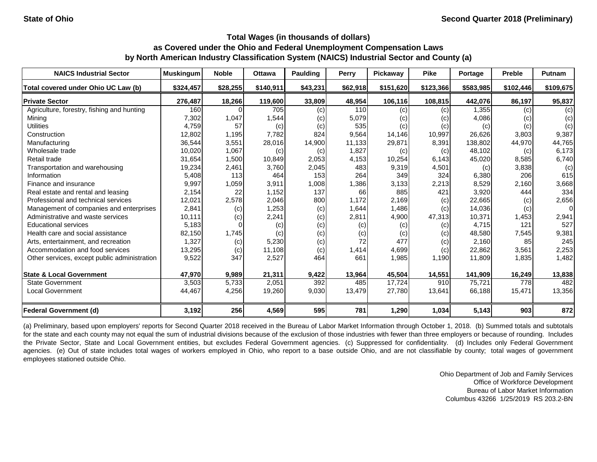| <b>NAICS Industrial Sector</b>               | <b>Muskingum</b> | <b>Noble</b> | <b>Ottawa</b> | <b>Paulding</b> | <b>Perry</b> | Pickaway  | <b>Pike</b> | Portage   | <b>Preble</b> | <b>Putnam</b> |
|----------------------------------------------|------------------|--------------|---------------|-----------------|--------------|-----------|-------------|-----------|---------------|---------------|
| Total covered under Ohio UC Law (b)          | \$324,457        | \$28,255     | \$140,911     | \$43,231        | \$62,918     | \$151,620 | \$123,366   | \$583,985 | \$102,446     | \$109,675     |
| <b>Private Sector</b>                        | 276,487          | 18,266       | 119,600       | 33,809          | 48,954       | 106,116   | 108,815     | 442,076   | 86,197        | 95,837        |
| Agriculture, forestry, fishing and hunting   | 160              |              | 705           | (c)             | 110          | (c)       | (c)         | 1,355     | (c)           | (c)           |
| Mining                                       | 7,302            | 1,047        | 1,544         | (c)             | 5,079        | (c)       | (c)         | 4,086     | (c)           | (c)           |
| <b>Utilities</b>                             | 4,759            | 57           | (c)           | $\left( $       | 535          | (c)       | (c)         | (c)       | (c)           | (c)           |
| Construction                                 | 12,802           | 1,195        | 7,782         | 824             | 9,564        | 14,146    | 10,997      | 26,626    | 3,803         | 9,387         |
| Manufacturing                                | 36,544           | 3,551        | 28,016        | 14,900          | 11,133       | 29,871    | 8,391       | 138,802   | 44,970        | 44,765        |
| Wholesale trade                              | 10,020           | 1,067        | (c)           | (c)             | 1,827        | (c)       | (c)         | 48,102    | (c)           | 6,173         |
| Retail trade                                 | 31,654           | 1,500        | 10,849        | 2,053           | 4,153        | 10,254    | 6,143       | 45,020    | 8,585         | 6,740         |
| Transportation and warehousing               | 19,234           | 2,461        | 3,760         | 2,045           | 483          | 9,319     | 4,501       | (c)       | 3,838         | (c)           |
| Information                                  | 5,408            | 113          | 464           | 153             | 264          | 349       | 324         | 6,380     | 206           | 615           |
| Finance and insurance                        | 9,997            | 1,059        | 3,911         | 1,008           | 1,386        | 3,133     | 2,213       | 8,529     | 2,160         | 3,668         |
| Real estate and rental and leasing           | 2,154            | 22           | 1,152         | 137             | 66           | 885       | 421         | 3,920     | 444           | 334           |
| Professional and technical services          | 12,021           | 2,578        | 2,046         | 800             | 1,172        | 2,169     | (c)         | 22,665    | (c)           | 2,656         |
| Management of companies and enterprises      | 2,841            | (c)          | 1,253         | (c)             | 1,644        | 1,486     | (c)         | 14,036    | (c)           | $\Omega$      |
| Administrative and waste services            | 10,111           | (c)          | 2,241         | $\left( $       | 2,811        | 4,900     | 47,313      | 10,371    | 1,453         | 2,941         |
| <b>Educational services</b>                  | 5,183            |              | (c)           | (c)             | (c)          | (c)       | (c)         | 4,715     | 121           | 527           |
| Health care and social assistance            | 82,150           | 1,745        | (c)           | (c)             | (c)          | (c)       | (c)         | 48,580    | 7,545         | 9,381         |
| Arts, entertainment, and recreation          | 1,327            | (c)          | 5,230         | (c)             | 72           | 477       | (c)         | 2,160     | 85            | 245           |
| Accommodation and food services              | 13,295           | (c)          | 11,108        | $\left( $       | 1,414        | 4,699     | (c)         | 22,862    | 3,561         | 2,253         |
| Other services, except public administration | 9,522            | 347          | 2,527         | 464             | 661          | 1,985     | 1,190       | 11,809    | 1,835         | 1,482         |
| <b>State &amp; Local Government</b>          | 47,970           | 9,989        | 21,311        | 9,422           | 13,964       | 45,504    | 14,551      | 141,909   | 16,249        | 13,838        |
| <b>State Government</b>                      | 3,503            | 5,733        | 2,051         | 392             | 485          | 17,724    | 910         | 75,721    | 778           | 482           |
| <b>Local Government</b>                      | 44,467           | 4,256        | 19,260        | 9,030           | 13,479       | 27,780    | 13,641      | 66,188    | 15,471        | 13,356        |
| <b>Federal Government (d)</b>                | 3,192            | 256          | 4,569         | 595             | 781          | 1,290     | 1,034       | 5,143     | 903           | 872           |

(a) Preliminary, based upon employers' reports for Second Quarter 2018 received in the Bureau of Labor Market Information through October 1, 2018. (b) Summed totals and subtotals for the state and each county may not equal the sum of industrial divisions because of the exclusion of those industries with fewer than three employers or because of rounding. Includes the Private Sector, State and Local Government entities, but excludes Federal Government agencies. (c) Suppressed for confidentiality. (d) Includes only Federal Government agencies. (e) Out of state includes total wages of workers employed in Ohio, who report to a base outside Ohio, and are not classifiable by county; total wages of government employees stationed outside Ohio.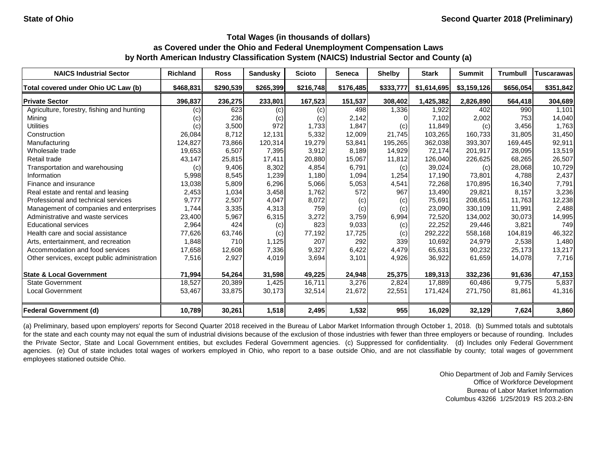| <b>NAICS Industrial Sector</b>               | <b>Richland</b> | <b>Ross</b> | <b>Sandusky</b> | <b>Scioto</b> | <b>Seneca</b> | <b>Shelby</b> | <b>Stark</b> | <b>Summit</b> | <b>Trumbull</b> | <b>Tuscarawas</b> |
|----------------------------------------------|-----------------|-------------|-----------------|---------------|---------------|---------------|--------------|---------------|-----------------|-------------------|
| Total covered under Ohio UC Law (b)          | \$468,831       | \$290,539   | \$265,399       | \$216,748     | \$176,485     | \$333,777     | \$1,614,695  | \$3,159,126   | \$656,054       | \$351,842         |
| <b>Private Sector</b>                        | 396,837         | 236,275     | 233,801         | 167,523       | 151,537       | 308,402       | 1,425,382    | 2,826,890     | 564,418         | 304,689           |
| Agriculture, forestry, fishing and hunting   | (c)             | 623         | (c)             | (c)           | 498           | 1,336         | 1,922        | 402           | 990             | 1,101             |
| Mining                                       | (c)             | 236         | (c)             | (c)           | 2,142         |               | 7,102        | 2,002         | 753             | 14,040            |
| <b>Utilities</b>                             | (c)             | 3,500       | 972             | 1,733         | 1,847         | (c)           | 11,849       | (c)           | 3,456           | 1,763             |
| Construction                                 | 26,084          | 8,712       | 12,131          | 5,332         | 12,009        | 21,745        | 103,265      | 160,733       | 31,805          | 31,450            |
| Manufacturing                                | 124,827         | 73,866      | 120,314         | 19,279        | 53,841        | 195,265       | 362,038      | 393,307       | 169,445         | 92,911            |
| Wholesale trade                              | 19,653          | 6,507       | 7,395           | 3,912         | 8,189         | 14,929        | 72,174       | 201,917       | 28,095          | 13,519            |
| Retail trade                                 | 43,147          | 25,815      | 17,411          | 20,880        | 15,067        | 11,812        | 126,040      | 226,625       | 68,265          | 26,507            |
| Transportation and warehousing               | (c)             | 9,406       | 8,302           | 4,854         | 6,791         | (c)           | 39,024       | (c)           | 28,068          | 10,729            |
| Information                                  | 5,998           | 8,545       | 1,239           | 1,180         | 1,094         | 1,254         | 17,190       | 73,801        | 4,788           | 2,437             |
| Finance and insurance                        | 13,038          | 5,809       | 6,296           | 5,066         | 5,053         | 4,541         | 72,268       | 170,895       | 16,340          | 7,791             |
| Real estate and rental and leasing           | 2,453           | 1,034       | 3,458           | 1,762         | 572           | 967           | 13,490       | 29,821        | 8,157           | 3,236             |
| Professional and technical services          | 9,777           | 2,507       | 4,047           | 8,072         | (c)           | (c)           | 75,691       | 208,651       | 11,763          | 12,238            |
| Management of companies and enterprises      | 1,744           | 3,335       | 4,313           | 759           | (c)           | (c)           | 23,090       | 330,109       | 11,991          | 2,488             |
| Administrative and waste services            | 23,400          | 5,967       | 6,315           | 3,272         | 3,759         | 6,994         | 72,520       | 134,002       | 30,073          | 14,995            |
| <b>Educational services</b>                  | 2,964           | 424         | (c)             | 823           | 9,033         | (c)           | 22,252       | 29,446        | 3,821           | 749               |
| Health care and social assistance            | 77,626          | 63,746      | (c)             | 77,192        | 17,725        | (c)           | 292,222      | 558,168       | 104,819         | 46,322            |
| Arts, entertainment, and recreation          | 1,848           | 710         | 1,125           | 207           | 292           | 339           | 10,692       | 24,979        | 2,538           | 1,480             |
| Accommodation and food services              | 17,658          | 12,608      | 7,336           | 9,327         | 6,422         | 4,479         | 65,631       | 90,232        | 25,173          | 13,217            |
| Other services, except public administration | 7,516           | 2,927       | 4,019           | 3,694         | 3,101         | 4,926         | 36,922       | 61,659        | 14,078          | 7,716             |
| <b>State &amp; Local Government</b>          | 71,994          | 54,264      | 31,598          | 49,225        | 24,948        | 25,375        | 189,313      | 332,236       | 91,636          | 47,153            |
| <b>State Government</b>                      | 18,527          | 20,389      | 1,425           | 16,711        | 3,276         | 2,824         | 17,889       | 60,486        | 9,775           | 5,837             |
| <b>Local Government</b>                      | 53,467          | 33,875      | 30,173          | 32,514        | 21,672        | 22,551        | 171,424      | 271,750       | 81,861          | 41,316            |
| <b>Federal Government (d)</b>                | 10,789          | 30,261      | 1,518           | 2,495         | 1,532         | 955           | 16,029       | 32,129        | 7,624           | 3,860             |

(a) Preliminary, based upon employers' reports for Second Quarter 2018 received in the Bureau of Labor Market Information through October 1, 2018. (b) Summed totals and subtotals for the state and each county may not equal the sum of industrial divisions because of the exclusion of those industries with fewer than three employers or because of rounding. Includes the Private Sector, State and Local Government entities, but excludes Federal Government agencies. (c) Suppressed for confidentiality. (d) Includes only Federal Government agencies. (e) Out of state includes total wages of workers employed in Ohio, who report to a base outside Ohio, and are not classifiable by county; total wages of government employees stationed outside Ohio.